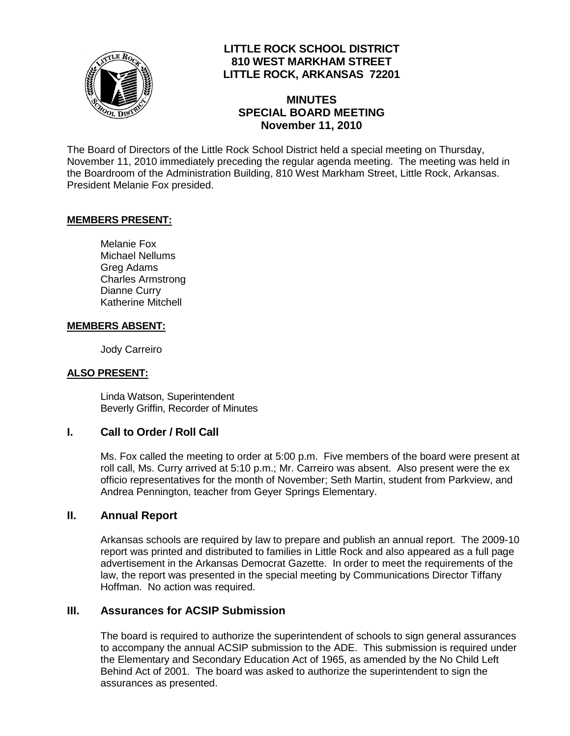

## **LITTLE ROCK SCHOOL DISTRICT 810 WEST MARKHAM STREET LITTLE ROCK, ARKANSAS 72201**

## **MINUTES SPECIAL BOARD MEETING November 11, 2010**

The Board of Directors of the Little Rock School District held a special meeting on Thursday, November 11, 2010 immediately preceding the regular agenda meeting. The meeting was held in the Boardroom of the Administration Building, 810 West Markham Street, Little Rock, Arkansas. President Melanie Fox presided.

### **MEMBERS PRESENT:**

Melanie Fox Michael Nellums Greg Adams Charles Armstrong Dianne Curry Katherine Mitchell

#### **MEMBERS ABSENT:**

Jody Carreiro

### **ALSO PRESENT:**

Linda Watson, Superintendent Beverly Griffin, Recorder of Minutes

### **I. Call to Order / Roll Call**

Ms. Fox called the meeting to order at 5:00 p.m. Five members of the board were present at roll call, Ms. Curry arrived at 5:10 p.m.; Mr. Carreiro was absent. Also present were the ex officio representatives for the month of November; Seth Martin, student from Parkview, and Andrea Pennington, teacher from Geyer Springs Elementary.

### **II. Annual Report**

Arkansas schools are required by law to prepare and publish an annual report. The 2009-10 report was printed and distributed to families in Little Rock and also appeared as a full page advertisement in the Arkansas Democrat Gazette. In order to meet the requirements of the law, the report was presented in the special meeting by Communications Director Tiffany Hoffman. No action was required.

### **III. Assurances for ACSIP Submission**

The board is required to authorize the superintendent of schools to sign general assurances to accompany the annual ACSIP submission to the ADE. This submission is required under the Elementary and Secondary Education Act of 1965, as amended by the No Child Left Behind Act of 2001. The board was asked to authorize the superintendent to sign the assurances as presented.